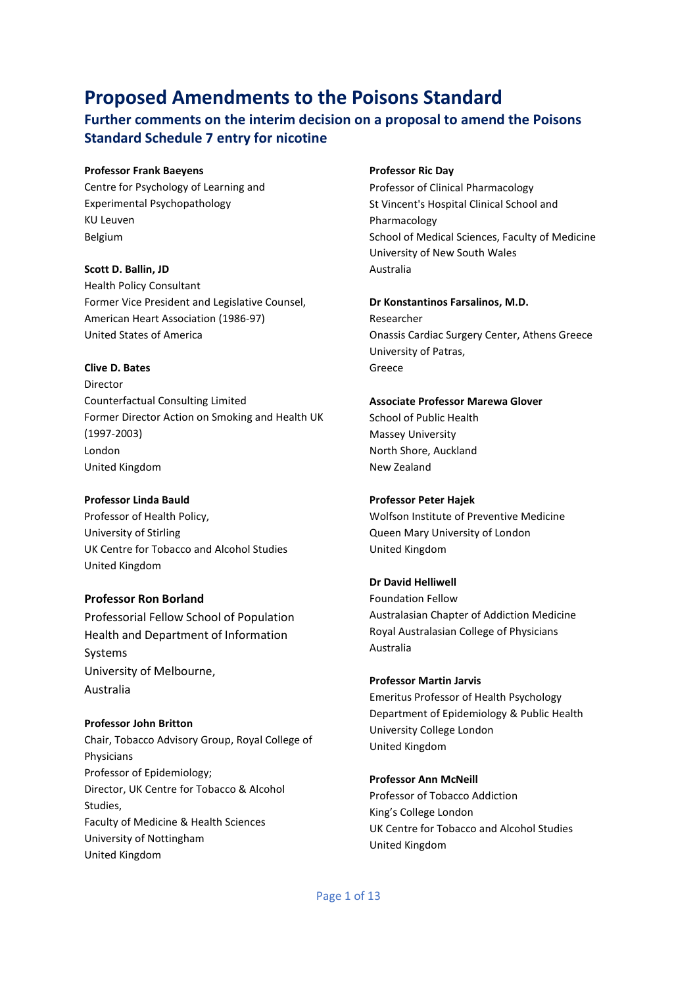# **Proposed Amendments to the Poisons Standard**

# **Further comments on the interim decision on a proposal to amend the Poisons Standard Schedule 7 entry for nicotine**

#### **Professor Frank Baeyens**

Centre for Psychology of Learning and Experimental Psychopathology KU Leuven Belgium

#### **Scott D. Ballin, JD**

Health Policy Consultant Former Vice President and Legislative Counsel, American Heart Association (1986-97) United States of America

#### **Clive D. Bates**

Director Counterfactual Consulting Limited Former Director Action on Smoking and Health UK (1997-2003) London United Kingdom

#### **Professor Linda Bauld**

Professor of Health Policy, University of Stirling UK Centre for Tobacco and Alcohol Studies United Kingdom

#### **Professor Ron Borland**

Professorial Fellow School of Population Health and Department of Information Systems University of Melbourne, Australia

# **Professor John Britton** Chair, Tobacco Advisory Group, Royal College of Physicians

Professor of Epidemiology; Director, UK Centre for Tobacco & Alcohol Studies, Faculty of Medicine & Health Sciences University of Nottingham United Kingdom

#### **Professor Ric Day**

Professor of Clinical Pharmacology St Vincent's Hospital Clinical School and Pharmacology School of Medical Sciences, Faculty of Medicine University of New South Wales Australia

#### **Dr Konstantinos Farsalinos, M.D.** Researcher

Onassis Cardiac Surgery Center, Athens Greece University of Patras, Greece

#### **Associate Professor Marewa Glover**

School of Public Health Massey University North Shore, Auckland New Zealand

#### **Professor Peter Hajek**

Wolfson Institute of Preventive Medicine Queen Mary University of London United Kingdom

#### **Dr David Helliwell**

Foundation Fellow Australasian Chapter of Addiction Medicine Royal Australasian College of Physicians Australia

## **Professor Martin Jarvis**

Emeritus Professor of Health Psychology Department of Epidemiology & Public Health University College London United Kingdom

# **Professor Ann McNeill** Professor of Tobacco Addiction King's College London

UK Centre for Tobacco and Alcohol Studies United Kingdom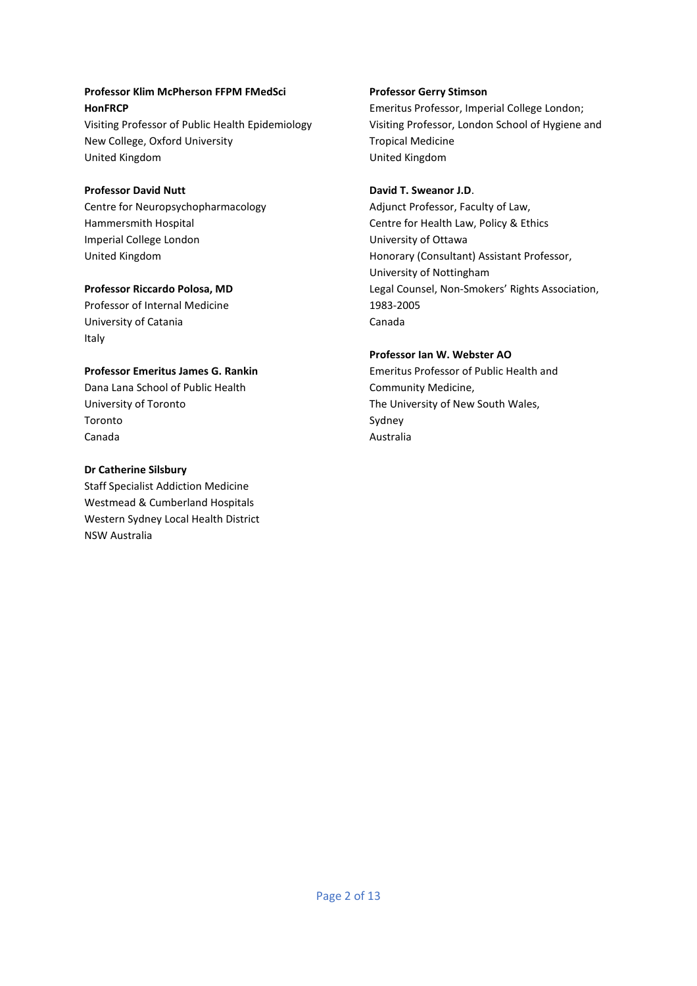### **Professor Klim McPherson FFPM FMedSci HonFRCP**

Visiting Professor of Public Health Epidemiology New College, Oxford University United Kingdom

## **Professor David Nutt**

Centre for Neuropsychopharmacology Hammersmith Hospital Imperial College London United Kingdom

### **Professor Riccardo Polosa, MD**

Professor of Internal Medicine University of Catania Italy

## **Professor Emeritus James G. Rankin**

Dana Lana School of Public Health University of Toronto Toronto Canada

### **Dr Catherine Silsbury**

Staff Specialist Addiction Medicine Westmead & Cumberland Hospitals Western Sydney Local Health District NSW Australia

## **Professor Gerry Stimson**

Emeritus Professor, Imperial College London; Visiting Professor, London School of Hygiene and Tropical Medicine United Kingdom

### **David T. Sweanor J.D**.

Adjunct Professor, Faculty of Law, Centre for Health Law, Policy & Ethics University of Ottawa Honorary (Consultant) Assistant Professor, University of Nottingham Legal Counsel, Non-Smokers' Rights Association, 1983-2005 Canada

## **Professor Ian W. Webster AO**

Emeritus Professor of Public Health and Community Medicine, The University of New South Wales, Sydney Australia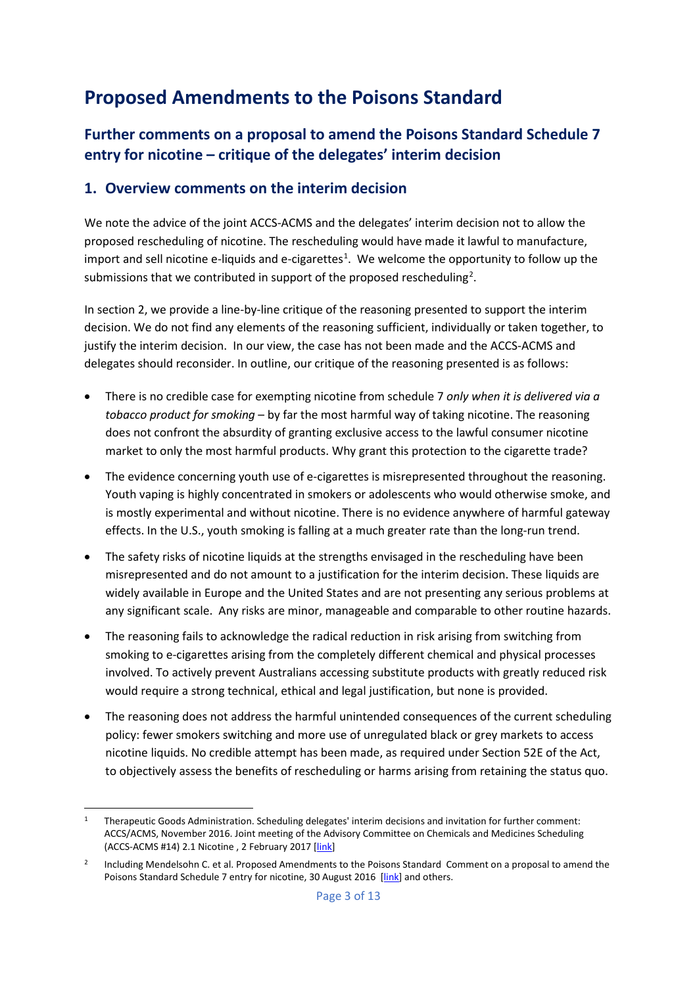# **Proposed Amendments to the Poisons Standard**

# **Further comments on a proposal to amend the Poisons Standard Schedule 7 entry for nicotine – critique of the delegates' interim decision**

# **1. Overview comments on the interim decision**

We note the advice of the joint ACCS-ACMS and the delegates' interim decision not to allow the proposed rescheduling of nicotine. The rescheduling would have made it lawful to manufacture, import and sell nicotine e-liquids and e-cigarettes<sup>[1](#page-2-0)</sup>. We welcome the opportunity to follow up the submissions that we contributed in support of the proposed rescheduling<sup>[2](#page-2-1)</sup>.

In section 2, we provide a line-by-line critique of the reasoning presented to support the interim decision. We do not find any elements of the reasoning sufficient, individually or taken together, to justify the interim decision. In our view, the case has not been made and the ACCS-ACMS and delegates should reconsider. In outline, our critique of the reasoning presented is as follows:

- There is no credible case for exempting nicotine from schedule 7 *only when it is delivered via a tobacco product for smoking* – by far the most harmful way of taking nicotine. The reasoning does not confront the absurdity of granting exclusive access to the lawful consumer nicotine market to only the most harmful products. Why grant this protection to the cigarette trade?
- The evidence concerning youth use of e-cigarettes is misrepresented throughout the reasoning. Youth vaping is highly concentrated in smokers or adolescents who would otherwise smoke, and is mostly experimental and without nicotine. There is no evidence anywhere of harmful gateway effects. In the U.S., youth smoking is falling at a much greater rate than the long-run trend.
- The safety risks of nicotine liquids at the strengths envisaged in the rescheduling have been misrepresented and do not amount to a justification for the interim decision. These liquids are widely available in Europe and the United States and are not presenting any serious problems at any significant scale. Any risks are minor, manageable and comparable to other routine hazards.
- The reasoning fails to acknowledge the radical reduction in risk arising from switching from smoking to e-cigarettes arising from the completely different chemical and physical processes involved. To actively prevent Australians accessing substitute products with greatly reduced risk would require a strong technical, ethical and legal justification, but none is provided.
- The reasoning does not address the harmful unintended consequences of the current scheduling policy: fewer smokers switching and more use of unregulated black or grey markets to access nicotine liquids. No credible attempt has been made, as required under Section 52E of the Act, to objectively assess the benefits of rescheduling or harms arising from retaining the status quo.

<span id="page-2-0"></span><sup>&</sup>lt;sup>1</sup> Therapeutic Goods Administration. Scheduling delegates' interim decisions and invitation for further comment: ACCS/ACMS, November 2016. Joint meeting of the Advisory Committee on Chemicals and Medicines Scheduling (ACCS-ACMS #14) 2.1 Nicotine, 2 February 2017 [\[link\]](https://www.tga.gov.au/book-page/21-nicotine)

<span id="page-2-1"></span><sup>&</sup>lt;sup>2</sup> Including Mendelsohn C. et al. Proposed Amendments to the Poisons Standard Comment on a proposal to amend the Poisons Standard Schedule 7 entry for nicotine, 30 August 2016 [\[link\]](http://colinmendelsohn.com.au/files/9814/7281/5038/Nicotine_rescheduling_proposal_comment_-_Final.pdf) and others.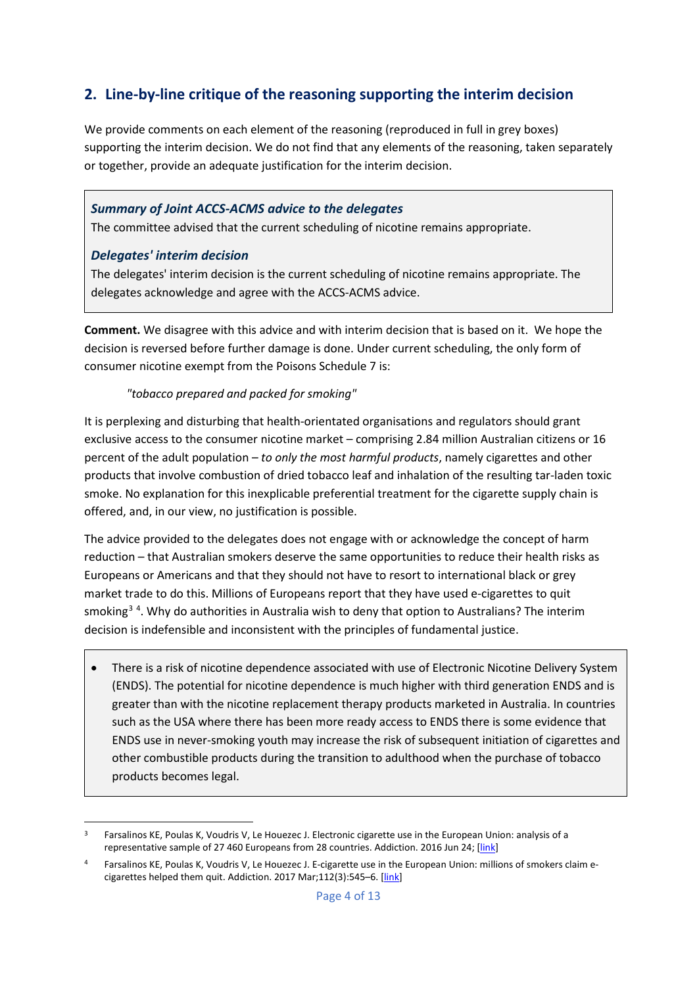# **2. Line-by-line critique of the reasoning supporting the interim decision**

We provide comments on each element of the reasoning (reproduced in full in grey boxes) supporting the interim decision. We do not find that any elements of the reasoning, taken separately or together, provide an adequate justification for the interim decision.

## *Summary of Joint ACCS-ACMS advice to the delegates*

The committee advised that the current scheduling of nicotine remains appropriate.

## *Delegates' interim decision*

The delegates' interim decision is the current scheduling of nicotine remains appropriate. The delegates acknowledge and agree with the ACCS-ACMS advice.

**Comment.** We disagree with this advice and with interim decision that is based on it. We hope the decision is reversed before further damage is done. Under current scheduling, the only form of consumer nicotine exempt from the Poisons Schedule 7 is:

## *"tobacco prepared and packed for smoking"*

It is perplexing and disturbing that health-orientated organisations and regulators should grant exclusive access to the consumer nicotine market – comprising 2.84 million Australian citizens or 16 percent of the adult population – *to only the most harmful products*, namely cigarettes and other products that involve combustion of dried tobacco leaf and inhalation of the resulting tar-laden toxic smoke. No explanation for this inexplicable preferential treatment for the cigarette supply chain is offered, and, in our view, no justification is possible.

The advice provided to the delegates does not engage with or acknowledge the concept of harm reduction – that Australian smokers deserve the same opportunities to reduce their health risks as Europeans or Americans and that they should not have to resort to international black or grey market trade to do this. Millions of Europeans report that they have used e-cigarettes to quit smoking<sup>[3](#page-3-0)[4](#page-3-1)</sup>. Why do authorities in Australia wish to deny that option to Australians? The interim decision is indefensible and inconsistent with the principles of fundamental justice.

• There is a risk of nicotine dependence associated with use of Electronic Nicotine Delivery System (ENDS). The potential for nicotine dependence is much higher with third generation ENDS and is greater than with the nicotine replacement therapy products marketed in Australia. In countries such as the USA where there has been more ready access to ENDS there is some evidence that ENDS use in never-smoking youth may increase the risk of subsequent initiation of cigarettes and other combustible products during the transition to adulthood when the purchase of tobacco products becomes legal.

<span id="page-3-0"></span><sup>&</sup>lt;sup>3</sup> Farsalinos KE, Poulas K, Voudris V, Le Houezec J. Electronic cigarette use in the European Union: analysis of a representative sample of 27 460 Europeans from 28 countries. Addiction. 2016 Jun 24; [\[link\]](http://onlinelibrary.wiley.com/doi/10.1111/add.13506/full)

<span id="page-3-1"></span><sup>4</sup> Farsalinos KE, Poulas K, Voudris V, Le Houezec J. E-cigarette use in the European Union: millions of smokers claim e-cigarettes helped them quit. Addiction. 2017 Mar;112(3):545-6. [\[link\]](http://onlinelibrary.wiley.com/doi/10.1111/add.13722/full)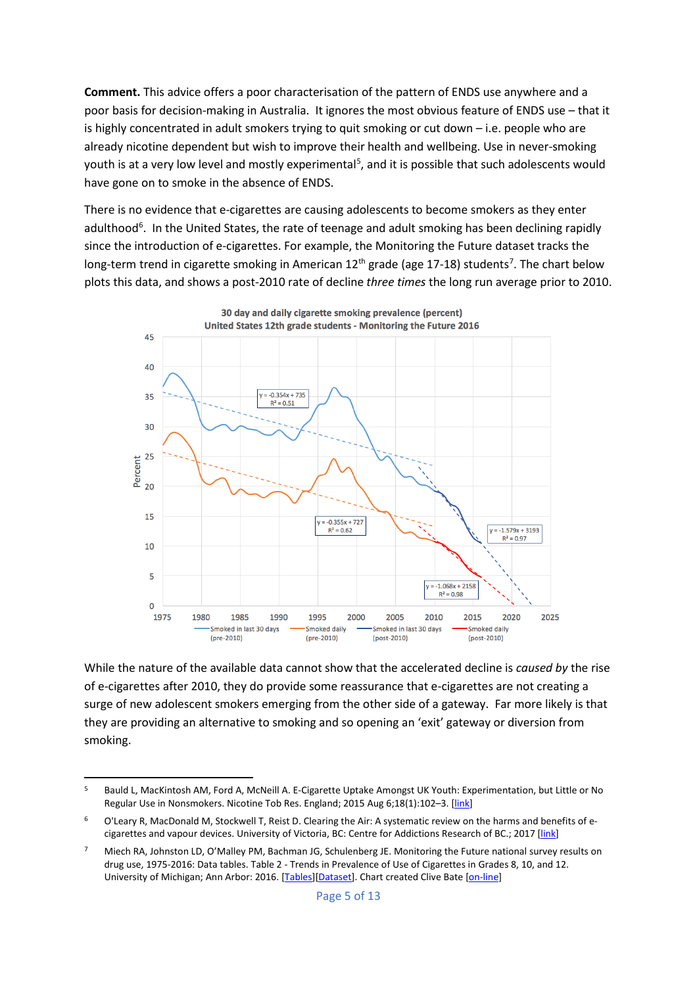**Comment.** This advice offers a poor characterisation of the pattern of ENDS use anywhere and a poor basis for decision-making in Australia. It ignores the most obvious feature of ENDS use – that it is highly concentrated in adult smokers trying to quit smoking or cut down – i.e. people who are already nicotine dependent but wish to improve their health and wellbeing. Use in never-smoking youth is at a very low level and mostly experimental<sup>[5](#page-4-0)</sup>, and it is possible that such adolescents would have gone on to smoke in the absence of ENDS.

There is no evidence that e-cigarettes are causing adolescents to become smokers as they enter adulthood<sup>[6](#page-4-1)</sup>. In the United States, the rate of teenage and adult smoking has been declining rapidly since the introduction of e-cigarettes. For example, the Monitoring the Future dataset tracks the long-term trend in cigarette smoking in American 12<sup>th</sup> grade (age 1[7](#page-4-2)-18) students<sup>7</sup>. The chart below plots this data, and shows a post-2010 rate of decline *three times* the long run average prior to 2010.



While the nature of the available data cannot show that the accelerated decline is *caused by* the rise of e-cigarettes after 2010, they do provide some reassurance that e-cigarettes are not creating a surge of new adolescent smokers emerging from the other side of a gateway. Far more likely is that they are providing an alternative to smoking and so opening an 'exit' gateway or diversion from smoking.

<span id="page-4-0"></span> <sup>5</sup> Bauld L, MacKintosh AM, Ford A, McNeill A. E-Cigarette Uptake Amongst UK Youth: Experimentation, but Little or No Regular Use in Nonsmokers. Nicotine Tob Res. England; 2015 Aug 6;18(1):102-3. [\[link\]](https://academic.oup.com/ntr/article-abstract/18/1/102/2583946/E-Cigarette-Uptake-Amongst-UK-Youth)

<span id="page-4-1"></span><sup>&</sup>lt;sup>6</sup> O'Leary R, MacDonald M, Stockwell T, Reist D. Clearing the Air: A systematic review on the harms and benefits of e-cigarettes and vapour devices. University of Victoria, BC: Centre for Addictions Research of BC.; 2017 [\[link\]](http://www.uvic.ca/home/about/campus-news/media-releases-tips/2017+e-cigarettes-carbc-macdonald-stockwell+media-release)

<span id="page-4-2"></span><sup>&</sup>lt;sup>7</sup> Miech RA, Johnston LD, O'Malley PM, Bachman JG, Schulenberg JE. Monitoring the Future national survey results on drug use, 1975-2016: Data tables. Table 2 - Trends in Prevalence of Use of Cigarettes in Grades 8, 10, and 12. University of Michigan; Ann Arbor: 2016. [\[Tables\]](http://www.monitoringthefuture.org/data/16data.html)[\[Dataset\]](http://www.monitoringthefuture.org/data/16data/16cigtbl2.pdf). Chart created Clive Bate [\[on-line\]](http://www.clivebates.com/documents/MTF12thGradeSmokingTrend.png)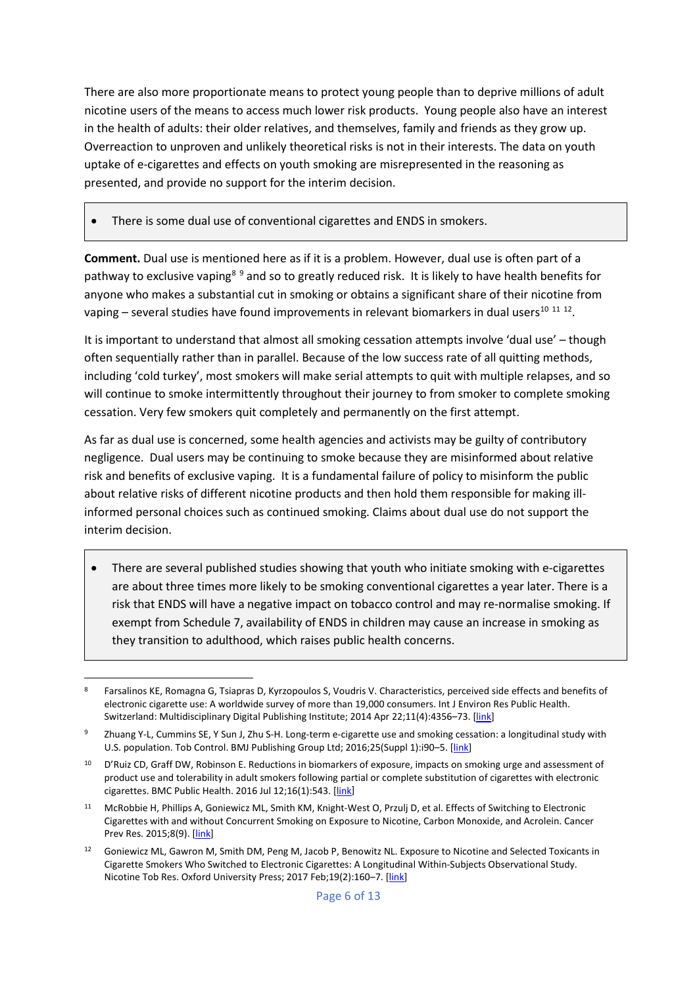There are also more proportionate means to protect young people than to deprive millions of adult nicotine users of the means to access much lower risk products. Young people also have an interest in the health of adults: their older relatives, and themselves, family and friends as they grow up. Overreaction to unproven and unlikely theoretical risks is not in their interests. The data on youth uptake of e-cigarettes and effects on youth smoking are misrepresented in the reasoning as presented, and provide no support for the interim decision.

• There is some dual use of conventional cigarettes and ENDS in smokers.

**Comment.** Dual use is mentioned here as if it is a problem. However, dual use is often part of a pathway to exclusive vaping<sup>[8](#page-5-0)[9](#page-5-1)</sup> and so to greatly reduced risk. It is likely to have health benefits for anyone who makes a substantial cut in smoking or obtains a significant share of their nicotine from vaping – several studies have found improvements in relevant biomarkers in dual users<sup>10 [11](#page-5-3) [12](#page-5-4)</sup>.

It is important to understand that almost all smoking cessation attempts involve 'dual use' – though often sequentially rather than in parallel. Because of the low success rate of all quitting methods, including 'cold turkey', most smokers will make serial attempts to quit with multiple relapses, and so will continue to smoke intermittently throughout their journey to from smoker to complete smoking cessation. Very few smokers quit completely and permanently on the first attempt.

As far as dual use is concerned, some health agencies and activists may be guilty of contributory negligence. Dual users may be continuing to smoke because they are misinformed about relative risk and benefits of exclusive vaping. It is a fundamental failure of policy to misinform the public about relative risks of different nicotine products and then hold them responsible for making illinformed personal choices such as continued smoking. Claims about dual use do not support the interim decision.

• There are several published studies showing that youth who initiate smoking with e-cigarettes are about three times more likely to be smoking conventional cigarettes a year later. There is a risk that ENDS will have a negative impact on tobacco control and may re-normalise smoking. If exempt from Schedule 7, availability of ENDS in children may cause an increase in smoking as they transition to adulthood, which raises public health concerns.

<span id="page-5-0"></span> <sup>8</sup> Farsalinos KE, Romagna G, Tsiapras D, Kyrzopoulos S, Voudris V. Characteristics, perceived side effects and benefits of electronic cigarette use: A worldwide survey of more than 19,000 consumers. Int J Environ Res Public Health. Switzerland: Multidisciplinary Digital Publishing Institute; 2014 Apr 22;11(4):4356–73. [\[link\]](http://www.mdpi.com/1660-4601/11/4/4356/htm)

<span id="page-5-1"></span><sup>9</sup> Zhuang Y-L, Cummins SE, Y Sun J, Zhu S-H. Long-term e-cigarette use and smoking cessation: a longitudinal study with U.S. population. Tob Control. BMJ Publishing Group Ltd; 2016;25(Suppl 1):i90-5. [\[link\]](https://www.ncbi.nlm.nih.gov/pmc/articles/PMC5099206/)

<span id="page-5-2"></span><sup>&</sup>lt;sup>10</sup> D'Ruiz CD, Graff DW, Robinson E. Reductions in biomarkers of exposure, impacts on smoking urge and assessment of product use and tolerability in adult smokers following partial or complete substitution of cigarettes with electronic cigarettes. BMC Public Health. 2016 Jul 12;16(1):543. [\[link\]](http://bmcpublichealth.biomedcentral.com/articles/10.1186/s12889-016-3236-1)

<span id="page-5-3"></span><sup>11</sup> McRobbie H, Phillips A, Goniewicz ML, Smith KM, Knight-West O, Przulj D, et al. Effects of Switching to Electronic Cigarettes with and without Concurrent Smoking on Exposure to Nicotine, Carbon Monoxide, and Acrolein. Cancer Prev Res. 2015;8(9). [\[link\]](http://cancerpreventionresearch.aacrjournals.org/content/8/9/873.long)

<span id="page-5-4"></span><sup>&</sup>lt;sup>12</sup> Goniewicz ML, Gawron M, Smith DM, Peng M, Jacob P, Benowitz NL. Exposure to Nicotine and Selected Toxicants in Cigarette Smokers Who Switched to Electronic Cigarettes: A Longitudinal Within-Subjects Observational Study. Nicotine Tob Res. Oxford University Press; 2017 Feb;19(2):160-7. [\[link\]](https://academic.oup.com/ntr/article-abstract/19/2/160/2631650/Exposure-to-Nicotine-and-Selected-Toxicants-in?redirectedFrom=fulltext)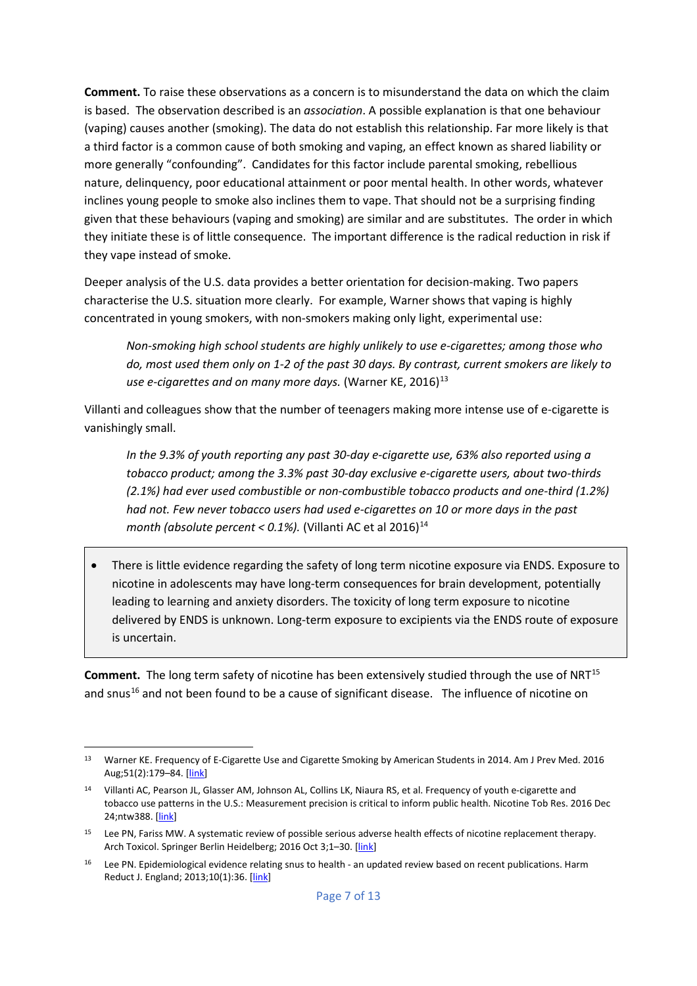**Comment.** To raise these observations as a concern is to misunderstand the data on which the claim is based. The observation described is an *association*. A possible explanation is that one behaviour (vaping) causes another (smoking). The data do not establish this relationship. Far more likely is that a third factor is a common cause of both smoking and vaping, an effect known as shared liability or more generally "confounding". Candidates for this factor include parental smoking, rebellious nature, delinquency, poor educational attainment or poor mental health. In other words, whatever inclines young people to smoke also inclines them to vape. That should not be a surprising finding given that these behaviours (vaping and smoking) are similar and are substitutes. The order in which they initiate these is of little consequence. The important difference is the radical reduction in risk if they vape instead of smoke.

Deeper analysis of the U.S. data provides a better orientation for decision-making. Two papers characterise the U.S. situation more clearly. For example, Warner shows that vaping is highly concentrated in young smokers, with non-smokers making only light, experimental use:

*Non-smoking high school students are highly unlikely to use e-cigarettes; among those who do, most used them only on 1-2 of the past 30 days. By contrast, current smokers are likely to use e-cigarettes and on many more days.* (Warner KE, 2016)<sup>[13](#page-6-0)</sup>

Villanti and colleagues show that the number of teenagers making more intense use of e-cigarette is vanishingly small.

*In the 9.3% of youth reporting any past 30-day e-cigarette use, 63% also reported using a tobacco product; among the 3.3% past 30-day exclusive e-cigarette users, about two-thirds (2.1%) had ever used combustible or non-combustible tobacco products and one-third (1.2%) had not. Few never tobacco users had used e-cigarettes on 10 or more days in the past month (absolute percent < 0.1%).* (Villanti AC et al 2016)<sup>[14](#page-6-1)</sup>

• There is little evidence regarding the safety of long term nicotine exposure via ENDS. Exposure to nicotine in adolescents may have long-term consequences for brain development, potentially leading to learning and anxiety disorders. The toxicity of long term exposure to nicotine delivered by ENDS is unknown. Long-term exposure to excipients via the ENDS route of exposure is uncertain.

**Comment.** The long term safety of nicotine has been extensively studied through the use of NRT<sup>[15](#page-6-2)</sup> and snus<sup>[16](#page-6-3)</sup> and not been found to be a cause of significant disease. The influence of nicotine on

<span id="page-6-0"></span> <sup>13</sup> Warner KE. Frequency of E-Cigarette Use and Cigarette Smoking by American Students in 2014. Am J Prev Med. 2016 Aug;51(2):179-84. [\[link\]](http://www.ajpmonline.org/article/S0749-3797(15)00782-5/abstract)

<span id="page-6-1"></span><sup>14</sup> Villanti AC, Pearson JL, Glasser AM, Johnson AL, Collins LK, Niaura RS, et al. Frequency of youth e-cigarette and tobacco use patterns in the U.S.: Measurement precision is critical to inform public health. Nicotine Tob Res. 2016 Dec 24;ntw388. [\[link\]](https://academic.oup.com/ntr/article-abstract/doi/10.1093/ntr/ntw388/2738979/Frequency-of-Youth-E-Cigarette-and-Tobacco-Use?redirectedFrom=fulltext)

<span id="page-6-2"></span><sup>&</sup>lt;sup>15</sup> Lee PN, Fariss MW. A systematic review of possible serious adverse health effects of nicotine replacement therapy. Arch Toxicol. Springer Berlin Heidelberg; 2016 Oct 3;1-30. [\[link\]](http://link.springer.com/article/10.1007/s00204-016-1856-y)

<span id="page-6-3"></span><sup>&</sup>lt;sup>16</sup> Lee PN. Epidemiological evidence relating snus to health - an updated review based on recent publications. Harm Reduct J. England; 2013;10(1):36. [\[link\]](https://www.ncbi.nlm.nih.gov/pmc/articles/PMC4029226/)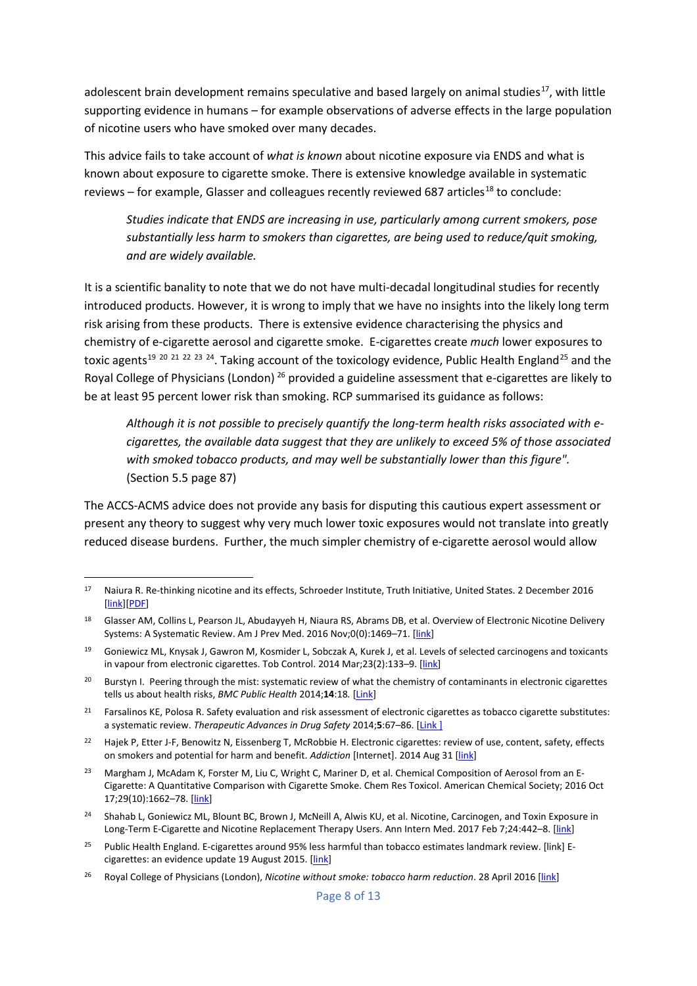adolescent brain development remains speculative and based largely on animal studies<sup>17</sup>, with little supporting evidence in humans – for example observations of adverse effects in the large population of nicotine users who have smoked over many decades.

This advice fails to take account of *what is known* about nicotine exposure via ENDS and what is known about exposure to cigarette smoke. There is extensive knowledge available in systematic reviews – for example, Glasser and colleagues recently reviewed 687 articles<sup>[18](#page-7-1)</sup> to conclude:

*Studies indicate that ENDS are increasing in use, particularly among current smokers, pose substantially less harm to smokers than cigarettes, are being used to reduce/quit smoking, and are widely available.*

It is a scientific banality to note that we do not have multi-decadal longitudinal studies for recently introduced products. However, it is wrong to imply that we have no insights into the likely long term risk arising from these products. There is extensive evidence characterising the physics and chemistry of e-cigarette aerosol and cigarette smoke. E-cigarettes create *much* lower exposures to toxic agents<sup>[19](#page-7-2) [20](#page-7-3) [21](#page-7-4) [22](#page-7-5) [23](#page-7-6) 24</sup>. Taking account of the toxicology evidence, Public Health England<sup>[25](#page-7-8)</sup> and the Royal College of Physicians (London) [26](#page-7-9) provided a guideline assessment that e-cigarettes are likely to be at least 95 percent lower risk than smoking. RCP summarised its guidance as follows:

*Although it is not possible to precisely quantify the long-term health risks associated with ecigarettes, the available data suggest that they are unlikely to exceed 5% of those associated with smoked tobacco products, and may well be substantially lower than this figure".*  (Section 5.5 page 87)

The ACCS-ACMS advice does not provide any basis for disputing this cautious expert assessment or present any theory to suggest why very much lower toxic exposures would not translate into greatly reduced disease burdens. Further, the much simpler chemistry of e-cigarette aerosol would allow

<span id="page-7-0"></span> <sup>17</sup> Naiura R. Re-thinking nicotine and its effects, Schroeder Institute, Truth Initiative, United States. 2 December 2016 [\[link\]](http://truthinitiative.org/news/re-thinking-nicotine-and-its-effects)[\[PDF\]](http://truthinitiative.org/sites/default/files/ReThinking-Nicotine.pdf)

<span id="page-7-1"></span><sup>&</sup>lt;sup>18</sup> Glasser AM, Collins L, Pearson JL, Abudayyeh H, Niaura RS, Abrams DB, et al. Overview of Electronic Nicotine Delivery Systems: A Systematic Review. Am J Prev Med. 2016 Nov;0(0):1469-71. [\[link\]](http://www.ajpmonline.org/article/S0749-3797(16)30573-6/abstract)

<span id="page-7-2"></span><sup>19</sup> Goniewicz ML, Knysak J, Gawron M, Kosmider L, Sobczak A, Kurek J, et al. Levels of selected carcinogens and toxicants in vapour from electronic cigarettes. Tob Control. 2014 Mar;23(2):133–9. [\[link\]](http://tobaccocontrol.bmj.com/content/23/2/133)

<span id="page-7-3"></span><sup>&</sup>lt;sup>20</sup> Burstyn I. Peering through the mist: systematic review of what the chemistry of contaminants in electronic cigarettes tells us about health risks, *BMC Public Health* 2014;**14**:18*.* [\[Link\]](http://www.biomedcentral.com/1471-2458/14/18/abstract)

<span id="page-7-4"></span><sup>&</sup>lt;sup>21</sup> Farsalinos KE, Polosa R. Safety evaluation and risk assessment of electronic cigarettes as tobacco cigarette substitutes: a systematic review. *Therapeutic Advances in Drug Safety* 2014;**5**:67–86. [\[Link](http://taw.sagepub.com/lookup/doi/10.1177/2042098614524430) ]

<span id="page-7-5"></span><sup>&</sup>lt;sup>22</sup> Hajek P, Etter J-F, Benowitz N, Eissenberg T, McRobbie H. Electronic cigarettes: review of use, content, safety, effects on smokers and potential for harm and benefit. *Addiction* [Internet]. 2014 Aug 31 [\[link\]](http://www.ncbi.nlm.nih.gov/pubmed/25078252)

<span id="page-7-6"></span><sup>&</sup>lt;sup>23</sup> Margham J, McAdam K, Forster M, Liu C, Wright C, Mariner D, et al. Chemical Composition of Aerosol from an E-Cigarette: A Quantitative Comparison with Cigarette Smoke. Chem Res Toxicol. American Chemical Society; 2016 Oct 17;29(10):1662–78. [\[link\]](http://pubs.acs.org/doi/abs/10.1021/acs.chemrestox.6b00188)

<span id="page-7-7"></span><sup>24</sup> Shahab L, Goniewicz ML, Blount BC, Brown J, McNeill A, Alwis KU, et al. Nicotine, Carcinogen, and Toxin Exposure in Long-Term E-Cigarette and Nicotine Replacement Therapy Users. Ann Intern Med. 2017 Feb 7;24:442–8. [\[link\]](http://annals.org/aim/article/2599869/nicotine-carcinogen-toxin-exposure-long-term-e-cigarette-nicotine-replacement)

<span id="page-7-8"></span><sup>25</sup> Public Health England. E-cigarettes around 95% less harmful than tobacco estimates landmark review. [\[link\]](https://www.gov.uk/government/news/e-cigarettes-around-95-less-harmful-than-tobacco-estimates-landmark-review) E-cigarettes: an evidence update 19 August 2015. [\[link\]](https://www.gov.uk/government/publications/e-cigarettes-an-evidence-update)

<span id="page-7-9"></span><sup>26</sup> Royal College of Physicians (London), *Nicotine without smoke: tobacco harm reduction*. 28 April 2016 [\[link\]](https://www.rcplondon.ac.uk/projects/outputs/nicotine-without-smoke-tobacco-harm-reduction-0)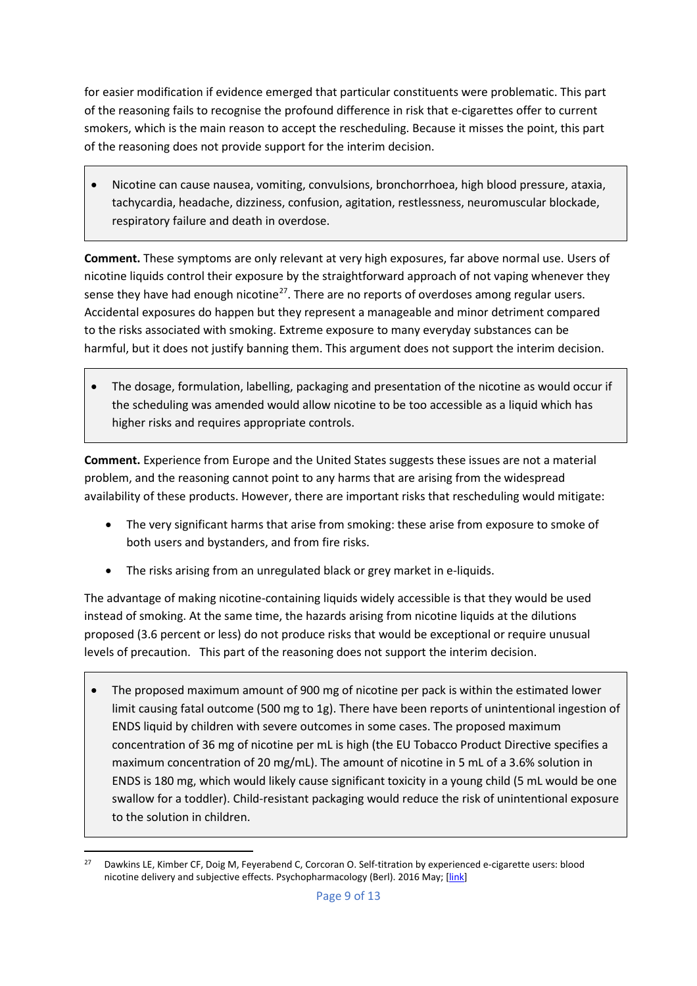for easier modification if evidence emerged that particular constituents were problematic. This part of the reasoning fails to recognise the profound difference in risk that e-cigarettes offer to current smokers, which is the main reason to accept the rescheduling. Because it misses the point, this part of the reasoning does not provide support for the interim decision.

• Nicotine can cause nausea, vomiting, convulsions, bronchorrhoea, high blood pressure, ataxia, tachycardia, headache, dizziness, confusion, agitation, restlessness, neuromuscular blockade, respiratory failure and death in overdose.

**Comment.** These symptoms are only relevant at very high exposures, far above normal use. Users of nicotine liquids control their exposure by the straightforward approach of not vaping whenever they sense they have had enough nicotine<sup>27</sup>. There are no reports of overdoses among regular users. Accidental exposures do happen but they represent a manageable and minor detriment compared to the risks associated with smoking. Extreme exposure to many everyday substances can be harmful, but it does not justify banning them. This argument does not support the interim decision.

• The dosage, formulation, labelling, packaging and presentation of the nicotine as would occur if the scheduling was amended would allow nicotine to be too accessible as a liquid which has higher risks and requires appropriate controls.

**Comment.** Experience from Europe and the United States suggests these issues are not a material problem, and the reasoning cannot point to any harms that are arising from the widespread availability of these products. However, there are important risks that rescheduling would mitigate:

- The very significant harms that arise from smoking: these arise from exposure to smoke of both users and bystanders, and from fire risks.
- The risks arising from an unregulated black or grey market in e-liquids.

The advantage of making nicotine-containing liquids widely accessible is that they would be used instead of smoking. At the same time, the hazards arising from nicotine liquids at the dilutions proposed (3.6 percent or less) do not produce risks that would be exceptional or require unusual levels of precaution. This part of the reasoning does not support the interim decision.

• The proposed maximum amount of 900 mg of nicotine per pack is within the estimated lower limit causing fatal outcome (500 mg to 1g). There have been reports of unintentional ingestion of ENDS liquid by children with severe outcomes in some cases. The proposed maximum concentration of 36 mg of nicotine per mL is high (the EU Tobacco Product Directive specifies a maximum concentration of 20 mg/mL). The amount of nicotine in 5 mL of a 3.6% solution in ENDS is 180 mg, which would likely cause significant toxicity in a young child (5 mL would be one swallow for a toddler). Child-resistant packaging would reduce the risk of unintentional exposure to the solution in children.

<span id="page-8-0"></span><sup>&</sup>lt;sup>27</sup> Dawkins LE, Kimber CF, Doig M, Feyerabend C, Corcoran O. Self-titration by experienced e-cigarette users: blood nicotine delivery and subjective effects. Psychopharmacology (Berl). 2016 May; [\[link\]](http://link.springer.com/article/10.1007%2Fs00213-016-4338-2)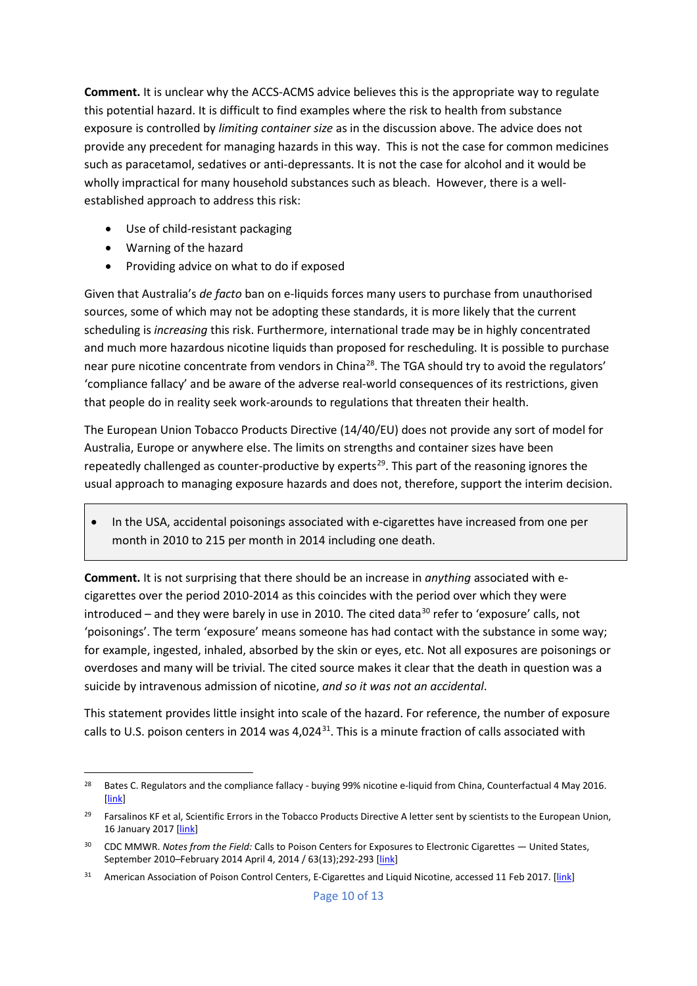**Comment.** It is unclear why the ACCS-ACMS advice believes this is the appropriate way to regulate this potential hazard. It is difficult to find examples where the risk to health from substance exposure is controlled by *limiting container size* as in the discussion above. The advice does not provide any precedent for managing hazards in this way. This is not the case for common medicines such as paracetamol, sedatives or anti-depressants. It is not the case for alcohol and it would be wholly impractical for many household substances such as bleach. However, there is a wellestablished approach to address this risk:

- Use of child-resistant packaging
- Warning of the hazard
- Providing advice on what to do if exposed

Given that Australia's *de facto* ban on e-liquids forces many users to purchase from unauthorised sources, some of which may not be adopting these standards, it is more likely that the current scheduling is *increasing* this risk. Furthermore, international trade may be in highly concentrated and much more hazardous nicotine liquids than proposed for rescheduling. It is possible to purchase near pure nicotine concentrate from vendors in China<sup>28</sup>. The TGA should try to avoid the regulators' 'compliance fallacy' and be aware of the adverse real-world consequences of its restrictions, given that people do in reality seek work-arounds to regulations that threaten their health.

The European Union Tobacco Products Directive (14/40/EU) does not provide any sort of model for Australia, Europe or anywhere else. The limits on strengths and container sizes have been repeatedly challenged as counter-productive by experts<sup>[29](#page-9-1)</sup>. This part of the reasoning ignores the usual approach to managing exposure hazards and does not, therefore, support the interim decision.

• In the USA, accidental poisonings associated with e-cigarettes have increased from one per month in 2010 to 215 per month in 2014 including one death.

**Comment.** It is not surprising that there should be an increase in *anything* associated with ecigarettes over the period 2010-2014 as this coincides with the period over which they were introduced – and they were barely in use in 2010. The cited data<sup>[30](#page-9-2)</sup> refer to 'exposure' calls, not 'poisonings'. The term 'exposure' means someone has had contact with the substance in some way; for example, ingested, inhaled, absorbed by the skin or eyes, etc. Not all exposures are poisonings or overdoses and many will be trivial. The cited source makes it clear that the death in question was a suicide by intravenous admission of nicotine, *and so it was not an accidental*.

This statement provides little insight into scale of the hazard. For reference, the number of exposure calls to U.S. poison centers in 2014 was  $4,024^{31}$  $4,024^{31}$  $4,024^{31}$ . This is a minute fraction of calls associated with

<span id="page-9-0"></span><sup>&</sup>lt;sup>28</sup> Bates C. Regulators and the compliance fallacy - buying 99% nicotine e-liquid from China, Counterfactual 4 May 2016. [\[link\]](http://www.clivebates.com/?p=4017)

<span id="page-9-1"></span><sup>29</sup> Farsalinos KF et al, Scientific Errors in the Tobacco Products Directive A letter sent by scientists to the European Union, 16 January 2017 [\[link\]](http://www.ecigarette-research.com/web/index.php/2013-04-07-09-50-07/149-tpd-errors)

<span id="page-9-2"></span><sup>30</sup> CDC MMWR. *Notes from the Field:* Calls to Poison Centers for Exposures to Electronic Cigarettes — United States, September 2010-February 2014 April 4, 2014 / 63(13);292-293 [\[link\]](https://www.cdc.gov/mmwr/preview/mmwrhtml/mm6313a4.htm#Fig)

<span id="page-9-3"></span><sup>&</sup>lt;sup>31</sup> American Association of Poison Control Centers, E-Cigarettes and Liquid Nicotine, accessed 11 Feb 2017. [\[link\]](http://www.aapcc.org/alerts/e-cigarettes/)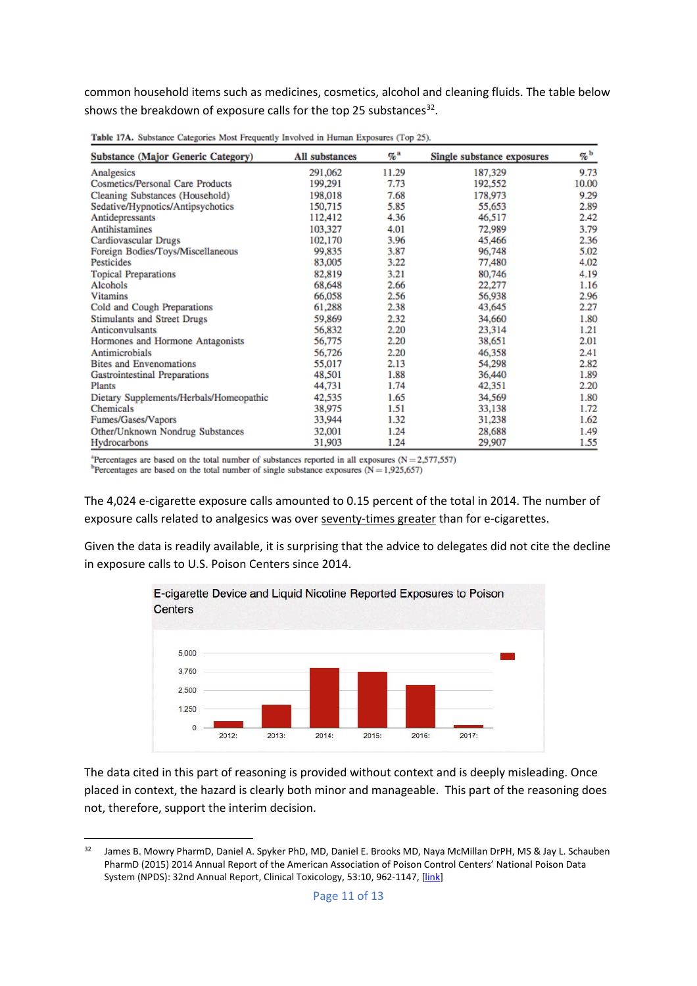common household items such as medicines, cosmetics, alcohol and cleaning fluids. The table below shows the breakdown of exposure calls for the top 25 substances<sup>[32](#page-10-0)</sup>.

| <b>Substance (Major Generic Category)</b> | <b>All substances</b> | %ª    | Single substance exposures | %b    |
|-------------------------------------------|-----------------------|-------|----------------------------|-------|
| Analgesics                                | 291,062               | 11.29 | 187,329                    | 9.73  |
| <b>Cosmetics/Personal Care Products</b>   | 199,291               | 7.73  | 192,552                    | 10.00 |
| Cleaning Substances (Household)           | 198,018               | 7.68  | 178,973                    | 9.29  |
| Sedative/Hypnotics/Antipsychotics         | 150,715               | 5.85  | 55,653                     | 2.89  |
| Antidepressants                           | 112,412               | 4.36  | 46,517                     | 2.42  |
| <b>Antihistamines</b>                     | 103,327               | 4.01  | 72.989                     | 3.79  |
| Cardiovascular Drugs                      | 102,170               | 3.96  | 45,466                     | 2.36  |
| Foreign Bodies/Toys/Miscellaneous         | 99,835                | 3.87  | 96,748                     | 5.02  |
| Pesticides                                | 83,005                | 3.22  | 77,480                     | 4.02  |
| <b>Topical Preparations</b>               | 82,819                | 3.21  | 80,746                     | 4.19  |
| Alcohols                                  | 68,648                | 2.66  | 22,277                     | 1.16  |
| <b>Vitamins</b>                           | 66,058                | 2.56  | 56,938                     | 2.96  |
| Cold and Cough Preparations               | 61,288                | 2.38  | 43,645                     | 2.27  |
| <b>Stimulants and Street Drugs</b>        | 59,869                | 2.32  | 34,660                     | 1.80  |
| Anticonvulsants                           | 56,832                | 2.20  | 23,314                     | 1.21  |
| Hormones and Hormone Antagonists          | 56,775                | 2.20  | 38,651                     | 2.01  |
| Antimicrobials                            | 56,726                | 2.20  | 46,358                     | 2.41  |
| <b>Bites and Envenomations</b>            | 55,017                | 2.13  | 54,298                     | 2.82  |
| <b>Gastrointestinal Preparations</b>      | 48,501                | 1.88  | 36,440                     | 1.89  |
| Plants                                    | 44,731                | 1.74  | 42,351                     | 2.20  |
| Dietary Supplements/Herbals/Homeopathic   | 42,535                | 1.65  | 34,569                     | 1.80  |
| Chemicals                                 | 38,975                | 1.51  | 33,138                     | 1.72  |
| Fumes/Gases/Vapors                        | 33,944                | 1.32  | 31,238                     | 1.62  |
| Other/Unknown Nondrug Substances          | 32,001                | 1.24  | 28,688                     | 1.49  |
| Hydrocarbons                              | 31,903                | 1.24  | 29,907                     | 1.55  |

Table 17A. Substance Categories Most Frequently Involved in Human Exposures (Top 25).

<sup>2</sup>Percentages are based on the total number of substances reported in all exposures ( $N = 2,577,557$ ) <sup>b</sup>Percentages are based on the total number of single substance exposures ( $N = 1,925,657$ )

The 4,024 e-cigarette exposure calls amounted to 0.15 percent of the total in 2014. The number of exposure calls related to analgesics was over seventy-times greater than for e-cigarettes.

Given the data is readily available, it is surprising that the advice to delegates did not cite the decline in exposure calls to U.S. Poison Centers since 2014.



The data cited in this part of reasoning is provided without context and is deeply misleading. Once placed in context, the hazard is clearly both minor and manageable. This part of the reasoning does not, therefore, support the interim decision.

<span id="page-10-0"></span><sup>32</sup> James B. Mowry PharmD, Daniel A. Spyker PhD, MD, Daniel E. Brooks MD, Naya McMillan DrPH, MS & Jay L. Schauben PharmD (2015) 2014 Annual Report of the American Association of Poison Control Centers' National Poison Data System (NPDS): 32nd Annual Report, Clinical Toxicology, 53:10, 962-1147, [\[link\]](https://aapcc.s3.amazonaws.com/pdfs/annual_reports/2014_AAPCC_NPDS_Annual_Report.pdf)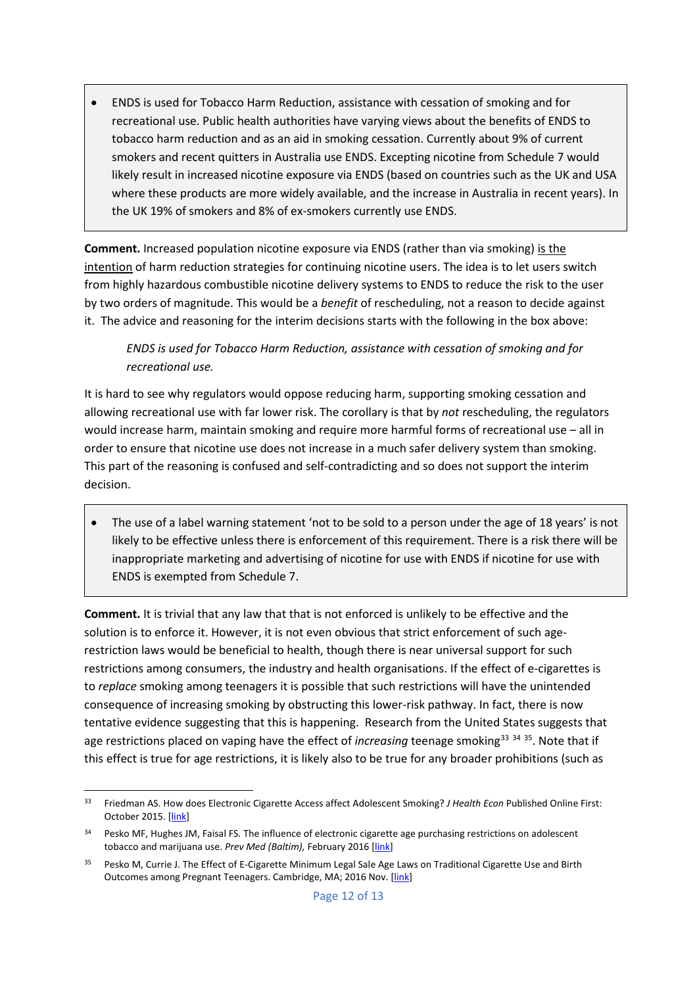• ENDS is used for Tobacco Harm Reduction, assistance with cessation of smoking and for recreational use. Public health authorities have varying views about the benefits of ENDS to tobacco harm reduction and as an aid in smoking cessation. Currently about 9% of current smokers and recent quitters in Australia use ENDS. Excepting nicotine from Schedule 7 would likely result in increased nicotine exposure via ENDS (based on countries such as the UK and USA where these products are more widely available, and the increase in Australia in recent years). In the UK 19% of smokers and 8% of ex-smokers currently use ENDS.

**Comment.** Increased population nicotine exposure via ENDS (rather than via smoking) is the intention of harm reduction strategies for continuing nicotine users. The idea is to let users switch from highly hazardous combustible nicotine delivery systems to ENDS to reduce the risk to the user by two orders of magnitude. This would be a *benefit* of rescheduling, not a reason to decide against it. The advice and reasoning for the interim decisions starts with the following in the box above:

*ENDS is used for Tobacco Harm Reduction, assistance with cessation of smoking and for recreational use.*

It is hard to see why regulators would oppose reducing harm, supporting smoking cessation and allowing recreational use with far lower risk. The corollary is that by *not* rescheduling, the regulators would increase harm, maintain smoking and require more harmful forms of recreational use – all in order to ensure that nicotine use does not increase in a much safer delivery system than smoking. This part of the reasoning is confused and self-contradicting and so does not support the interim decision.

• The use of a label warning statement 'not to be sold to a person under the age of 18 years' is not likely to be effective unless there is enforcement of this requirement. There is a risk there will be inappropriate marketing and advertising of nicotine for use with ENDS if nicotine for use with ENDS is exempted from Schedule 7.

**Comment.** It is trivial that any law that that is not enforced is unlikely to be effective and the solution is to enforce it. However, it is not even obvious that strict enforcement of such agerestriction laws would be beneficial to health, though there is near universal support for such restrictions among consumers, the industry and health organisations. If the effect of e-cigarettes is to *replace* smoking among teenagers it is possible that such restrictions will have the unintended consequence of increasing smoking by obstructing this lower-risk pathway. In fact, there is now tentative evidence suggesting that this is happening. Research from the United States suggests that age restrictions placed on vaping have the effect of *increasing* teenage smoking<sup>[33](#page-11-0)</sup> <sup>[34](#page-11-1)</sup> <sup>[35](#page-11-2)</sup>. Note that if this effect is true for age restrictions, it is likely also to be true for any broader prohibitions (such as

<span id="page-11-0"></span> <sup>33</sup> Friedman AS. How does Electronic Cigarette Access affect Adolescent Smoking? *J Health Econ* Published Online First: October 2015. [\[link\]](http://www.ncbi.nlm.nih.gov/pubmed/?term=26583343)

<span id="page-11-1"></span><sup>34</sup> Pesko MF, Hughes JM, Faisal FS. The influence of electronic cigarette age purchasing restrictions on adolescent tobacco and marijuana use. *Prev Med (Baltim),* February 2016 [\[link\]](http://www.ncbi.nlm.nih.gov/pubmed/26971853)

<span id="page-11-2"></span><sup>35</sup> Pesko M, Currie J. The Effect of E-Cigarette Minimum Legal Sale Age Laws on Traditional Cigarette Use and Birth Outcomes among Pregnant Teenagers. Cambridge, MA; 2016 Nov. [\[link\]](http://www.nber.org/papers/w22792)